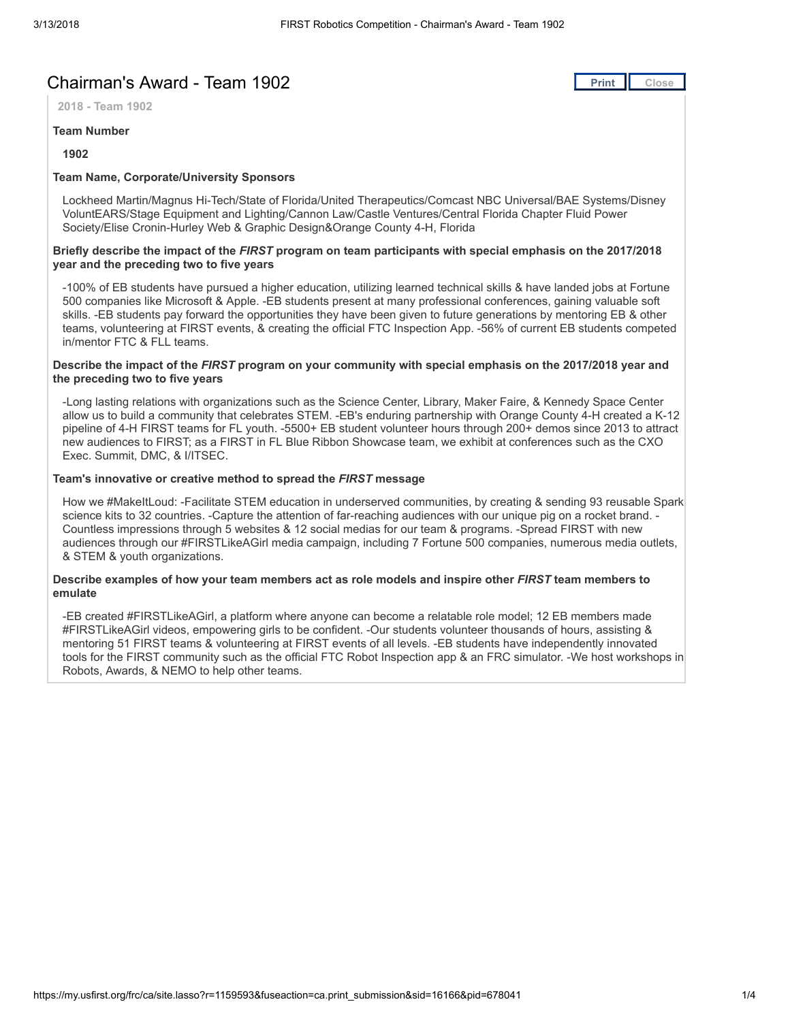# Chairman's Award - Team 1902 **[Print](javascript:this.print();) Print Print Print Pulse**

2018 - Team 1902

#### Team Number

#### 1902

### Team Name, Corporate/University Sponsors

Lockheed Martin/Magnus Hi-Tech/State of Florida/United Therapeutics/Comcast NBC Universal/BAE Systems/Disney VoluntEARS/Stage Equipment and Lighting/Cannon Law/Castle Ventures/Central Florida Chapter Fluid Power Society/Elise Cronin-Hurley Web & Graphic Design&Orange County 4-H, Florida

#### Briefly describe the impact of the FIRST program on team participants with special emphasis on the 2017/2018 year and the preceding two to five years

-100% of EB students have pursued a higher education, utilizing learned technical skills & have landed jobs at Fortune 500 companies like Microsoft & Apple. -EB students present at many professional conferences, gaining valuable soft skills. -EB students pay forward the opportunities they have been given to future generations by mentoring EB & other teams, volunteering at FIRST events, & creating the official FTC Inspection App. -56% of current EB students competed in/mentor FTC & FLL teams.

#### Describe the impact of the FIRST program on your community with special emphasis on the 2017/2018 year and the preceding two to five years

-Long lasting relations with organizations such as the Science Center, Library, Maker Faire, & Kennedy Space Center allow us to build a community that celebrates STEM. -EB's enduring partnership with Orange County 4-H created a K-12 pipeline of 4-H FIRST teams for FL youth. -5500+ EB student volunteer hours through 200+ demos since 2013 to attract new audiences to FIRST; as a FIRST in FL Blue Ribbon Showcase team, we exhibit at conferences such as the CXO Exec. Summit, DMC, & I/ITSEC.

#### Team's innovative or creative method to spread the FIRST message

How we #MakeItLoud: -Facilitate STEM education in underserved communities, by creating & sending 93 reusable Spark science kits to 32 countries. -Capture the attention of far-reaching audiences with our unique pig on a rocket brand. - Countless impressions through 5 websites & 12 social medias for our team & programs. -Spread FIRST with new audiences through our #FIRSTLikeAGirl media campaign, including 7 Fortune 500 companies, numerous media outlets, & STEM & youth organizations.

#### Describe examples of how your team members act as role models and inspire other FIRST team members to emulate

-EB created #FIRSTLikeAGirl, a platform where anyone can become a relatable role model; 12 EB members made #FIRSTLikeAGirl videos, empowering girls to be confident. -Our students volunteer thousands of hours, assisting & mentoring 51 FIRST teams & volunteering at FIRST events of all levels. -EB students have independently innovated tools for the FIRST community such as the official FTC Robot Inspection app & an FRC simulator. -We host workshops in Robots, Awards, & NEMO to help other teams.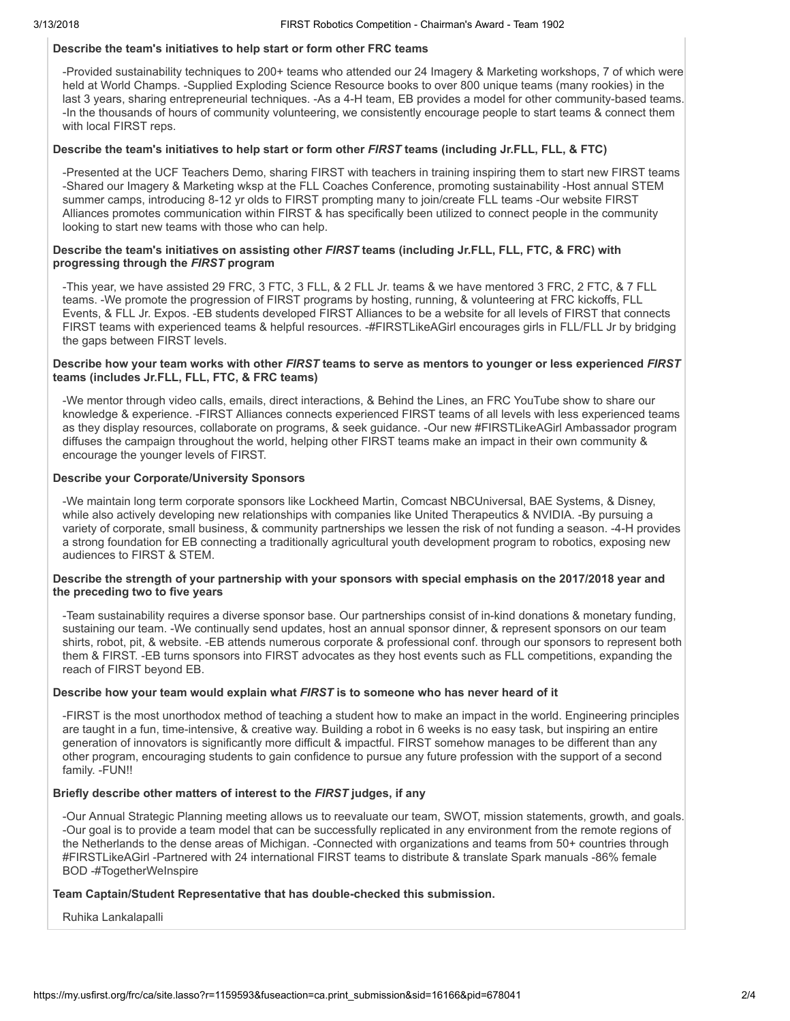# Describe the team's initiatives to help start or form other FRC teams

-Provided sustainability techniques to 200+ teams who attended our 24 Imagery & Marketing workshops, 7 of which were held at World Champs. -Supplied Exploding Science Resource books to over 800 unique teams (many rookies) in the last 3 years, sharing entrepreneurial techniques. -As a 4-H team, EB provides a model for other community-based teams. -In the thousands of hours of community volunteering, we consistently encourage people to start teams & connect them with local FIRST reps.

#### Describe the team's initiatives to help start or form other FIRST teams (including Jr.FLL, FLL, & FTC)

-Presented at the UCF Teachers Demo, sharing FIRST with teachers in training inspiring them to start new FIRST teams -Shared our Imagery & Marketing wksp at the FLL Coaches Conference, promoting sustainability -Host annual STEM summer camps, introducing 8-12 yr olds to FIRST prompting many to join/create FLL teams -Our website FIRST Alliances promotes communication within FIRST & has specifically been utilized to connect people in the community looking to start new teams with those who can help.

#### Describe the team's initiatives on assisting other FIRST teams (including Jr.FLL, FLL, FTC, & FRC) with progressing through the FIRST program

-This year, we have assisted 29 FRC, 3 FTC, 3 FLL, & 2 FLL Jr. teams & we have mentored 3 FRC, 2 FTC, & 7 FLL teams. -We promote the progression of FIRST programs by hosting, running, & volunteering at FRC kickoffs, FLL Events, & FLL Jr. Expos. -EB students developed FIRST Alliances to be a website for all levels of FIRST that connects FIRST teams with experienced teams & helpful resources. -#FIRSTLikeAGirl encourages girls in FLL/FLL Jr by bridging the gaps between FIRST levels.

#### Describe how your team works with other FIRST teams to serve as mentors to younger or less experienced FIRST teams (includes Jr.FLL, FLL, FTC, & FRC teams)

-We mentor through video calls, emails, direct interactions, & Behind the Lines, an FRC YouTube show to share our knowledge & experience. -FIRST Alliances connects experienced FIRST teams of all levels with less experienced teams as they display resources, collaborate on programs, & seek guidance. -Our new #FIRSTLikeAGirl Ambassador program diffuses the campaign throughout the world, helping other FIRST teams make an impact in their own community & encourage the younger levels of FIRST.

#### Describe your Corporate/University Sponsors

-We maintain long term corporate sponsors like Lockheed Martin, Comcast NBCUniversal, BAE Systems, & Disney, while also actively developing new relationships with companies like United Therapeutics & NVIDIA. -By pursuing a variety of corporate, small business, & community partnerships we lessen the risk of not funding a season. -4-H provides a strong foundation for EB connecting a traditionally agricultural youth development program to robotics, exposing new audiences to FIRST & STEM.

#### Describe the strength of your partnership with your sponsors with special emphasis on the 2017/2018 year and the preceding two to five years

-Team sustainability requires a diverse sponsor base. Our partnerships consist of in-kind donations & monetary funding, sustaining our team. -We continually send updates, host an annual sponsor dinner, & represent sponsors on our team shirts, robot, pit, & website. -EB attends numerous corporate & professional conf. through our sponsors to represent both them & FIRST. -EB turns sponsors into FIRST advocates as they host events such as FLL competitions, expanding the reach of FIRST beyond EB.

### Describe how your team would explain what FIRST is to someone who has never heard of it

-FIRST is the most unorthodox method of teaching a student how to make an impact in the world. Engineering principles are taught in a fun, time-intensive, & creative way. Building a robot in 6 weeks is no easy task, but inspiring an entire generation of innovators is significantly more difficult & impactful. FIRST somehow manages to be different than any other program, encouraging students to gain confidence to pursue any future profession with the support of a second family. -FUN!!

### Briefly describe other matters of interest to the FIRST judges, if any

-Our Annual Strategic Planning meeting allows us to reevaluate our team, SWOT, mission statements, growth, and goals. -Our goal is to provide a team model that can be successfully replicated in any environment from the remote regions of the Netherlands to the dense areas of Michigan. -Connected with organizations and teams from 50+ countries through #FIRSTLikeAGirl -Partnered with 24 international FIRST teams to distribute & translate Spark manuals -86% female BOD -#TogetherWeInspire

#### Team Captain/Student Representative that has double-checked this submission.

Ruhika Lankalapalli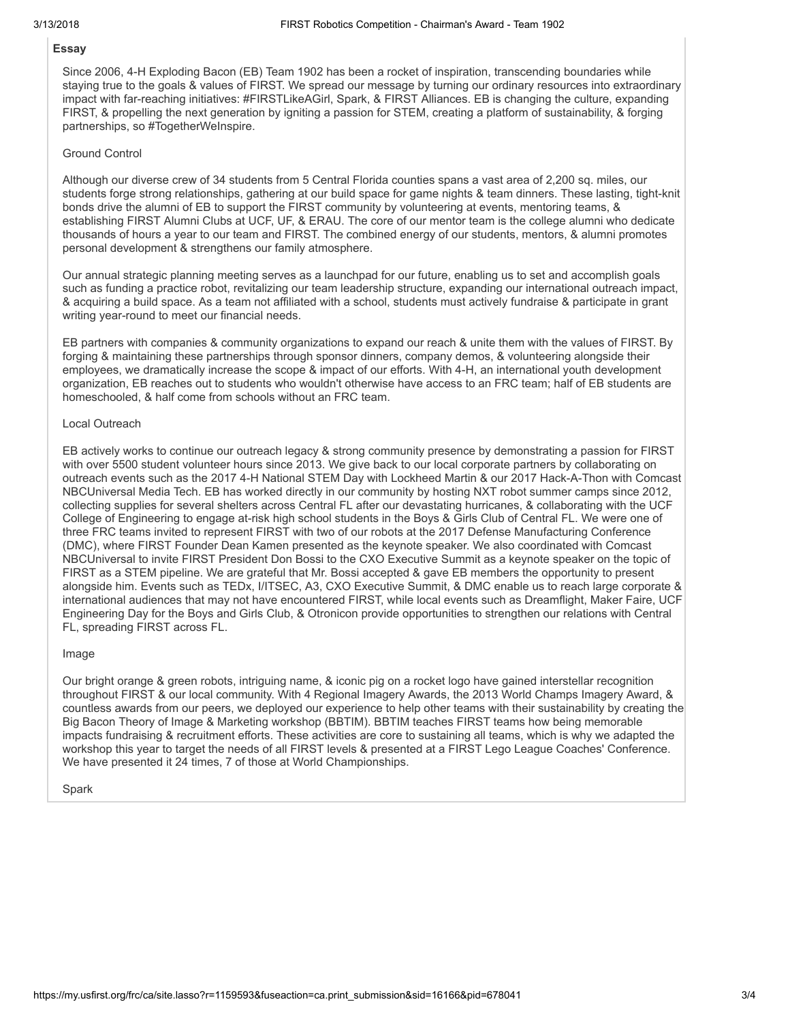# Essay

Since 2006, 4-H Exploding Bacon (EB) Team 1902 has been a rocket of inspiration, transcending boundaries while staying true to the goals & values of FIRST. We spread our message by turning our ordinary resources into extraordinary impact with far-reaching initiatives: #FIRSTLikeAGirl, Spark, & FIRST Alliances. EB is changing the culture, expanding FIRST, & propelling the next generation by igniting a passion for STEM, creating a platform of sustainability, & forging partnerships, so #TogetherWeInspire.

#### Ground Control

Although our diverse crew of 34 students from 5 Central Florida counties spans a vast area of 2,200 sq. miles, our students forge strong relationships, gathering at our build space for game nights & team dinners. These lasting, tight-knit bonds drive the alumni of EB to support the FIRST community by volunteering at events, mentoring teams, & establishing FIRST Alumni Clubs at UCF, UF, & ERAU. The core of our mentor team is the college alumni who dedicate thousands of hours a year to our team and FIRST. The combined energy of our students, mentors, & alumni promotes personal development & strengthens our family atmosphere.

Our annual strategic planning meeting serves as a launchpad for our future, enabling us to set and accomplish goals such as funding a practice robot, revitalizing our team leadership structure, expanding our international outreach impact, & acquiring a build space. As a team not affiliated with a school, students must actively fundraise & participate in grant writing year-round to meet our financial needs.

EB partners with companies & community organizations to expand our reach & unite them with the values of FIRST. By forging & maintaining these partnerships through sponsor dinners, company demos, & volunteering alongside their employees, we dramatically increase the scope & impact of our efforts. With 4-H, an international youth development organization, EB reaches out to students who wouldn't otherwise have access to an FRC team; half of EB students are homeschooled, & half come from schools without an FRC team.

#### Local Outreach

EB actively works to continue our outreach legacy & strong community presence by demonstrating a passion for FIRST with over 5500 student volunteer hours since 2013. We give back to our local corporate partners by collaborating on outreach events such as the 2017 4-H National STEM Day with Lockheed Martin & our 2017 Hack-A-Thon with Comcast NBCUniversal Media Tech. EB has worked directly in our community by hosting NXT robot summer camps since 2012, collecting supplies for several shelters across Central FL after our devastating hurricanes, & collaborating with the UCF College of Engineering to engage at-risk high school students in the Boys & Girls Club of Central FL. We were one of three FRC teams invited to represent FIRST with two of our robots at the 2017 Defense Manufacturing Conference (DMC), where FIRST Founder Dean Kamen presented as the keynote speaker. We also coordinated with Comcast NBCUniversal to invite FIRST President Don Bossi to the CXO Executive Summit as a keynote speaker on the topic of FIRST as a STEM pipeline. We are grateful that Mr. Bossi accepted & gave EB members the opportunity to present alongside him. Events such as TEDx, I/ITSEC, A3, CXO Executive Summit, & DMC enable us to reach large corporate & international audiences that may not have encountered FIRST, while local events such as Dreamflight, Maker Faire, UCF Engineering Day for the Boys and Girls Club, & Otronicon provide opportunities to strengthen our relations with Central FL, spreading FIRST across FL.

#### Image

Our bright orange & green robots, intriguing name, & iconic pig on a rocket logo have gained interstellar recognition throughout FIRST & our local community. With 4 Regional Imagery Awards, the 2013 World Champs Imagery Award, & countless awards from our peers, we deployed our experience to help other teams with their sustainability by creating the Big Bacon Theory of Image & Marketing workshop (BBTIM). BBTIM teaches FIRST teams how being memorable impacts fundraising & recruitment efforts. These activities are core to sustaining all teams, which is why we adapted the workshop this year to target the needs of all FIRST levels & presented at a FIRST Lego League Coaches' Conference. We have presented it 24 times, 7 of those at World Championships.

#### Spark